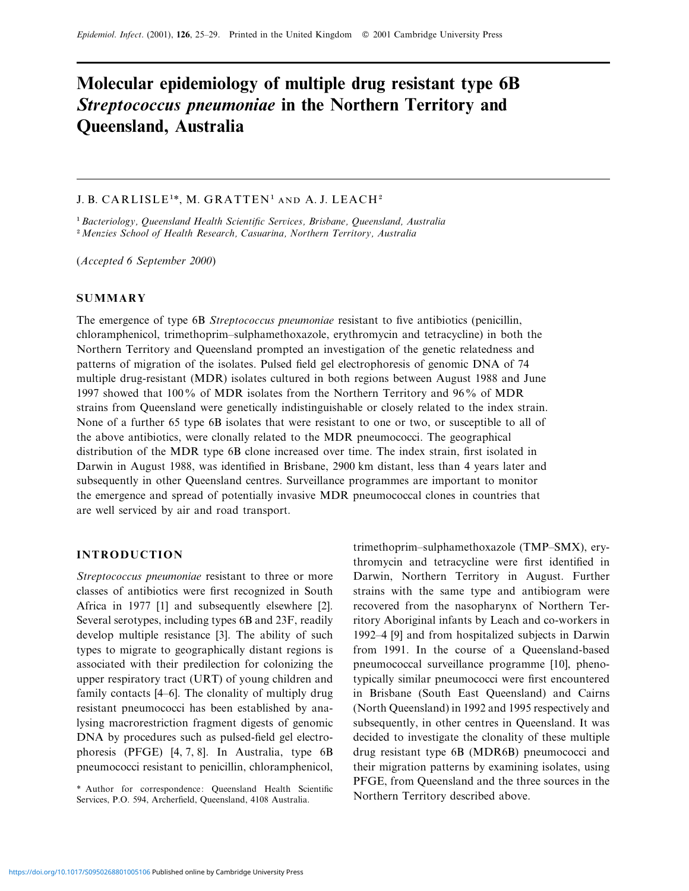# **Molecular epidemiology of multiple drug resistant type 6B** *Streptococcus pneumoniae* **in the Northern Territory and Queensland, Australia**

# J. B. CARLISLE<sup>1\*</sup>, M. GRATTEN<sup>1</sup> AND A. J. LEACH<sup>2</sup>

"*Bacteriology, Queensland Health Scientific Serices, Brisbane, Queensland, Australia* <sup>2</sup> Menzies School of Health Research, Casuarina, Northern Territory, Australia

(*Accepted 6 September 2000*)

# **SUMMARY**

The emergence of type 6B *Streptococcus pneumoniae* resistant to five antibiotics (penicillin, chloramphenicol, trimethoprim–sulphamethoxazole, erythromycin and tetracycline) in both the Northern Territory and Queensland prompted an investigation of the genetic relatedness and patterns of migration of the isolates. Pulsed field gel electrophoresis of genomic DNA of 74 multiple drug-resistant (MDR) isolates cultured in both regions between August 1988 and June 1997 showed that 100% of MDR isolates from the Northern Territory and 96% of MDR strains from Queensland were genetically indistinguishable or closely related to the index strain. None of a further 65 type 6B isolates that were resistant to one or two, or susceptible to all of the above antibiotics, were clonally related to the MDR pneumococci. The geographical distribution of the MDR type 6B clone increased over time. The index strain, first isolated in Darwin in August 1988, was identified in Brisbane, 2900 km distant, less than 4 years later and subsequently in other Queensland centres. Surveillance programmes are important to monitor the emergence and spread of potentially invasive MDR pneumococcal clones in countries that are well serviced by air and road transport.

# **INTRODUCTION**

*Streptococcus pneumoniae* resistant to three or more classes of antibiotics were first recognized in South Africa in 1977 [1] and subsequently elsewhere [2]. Several serotypes, including types 6B and 23F, readily develop multiple resistance [3]. The ability of such types to migrate to geographically distant regions is associated with their predilection for colonizing the upper respiratory tract (URT) of young children and family contacts [4–6]. The clonality of multiply drug resistant pneumococci has been established by analysing macrorestriction fragment digests of genomic DNA by procedures such as pulsed-field gel electrophoresis (PFGE) [4, 7, 8]. In Australia, type 6B pneumococci resistant to penicillin, chloramphenicol,

\* Author for correspondence: Queensland Health Scientific Services, P.O. 594, Archerfield, Queensland, 4108 Australia.

trimethoprim–sulphamethoxazole (TMP–SMX), erythromycin and tetracycline were first identified in Darwin, Northern Territory in August. Further strains with the same type and antibiogram were recovered from the nasopharynx of Northern Territory Aboriginal infants by Leach and co-workers in 1992–4 [9] and from hospitalized subjects in Darwin from 1991. In the course of a Queensland-based pneumococcal surveillance programme [10], phenotypically similar pneumococci were first encountered in Brisbane (South East Queensland) and Cairns (North Queensland) in 1992 and 1995 respectively and subsequently, in other centres in Queensland. It was decided to investigate the clonality of these multiple drug resistant type 6B (MDR6B) pneumococci and their migration patterns by examining isolates, using PFGE, from Queensland and the three sources in the Northern Territory described above.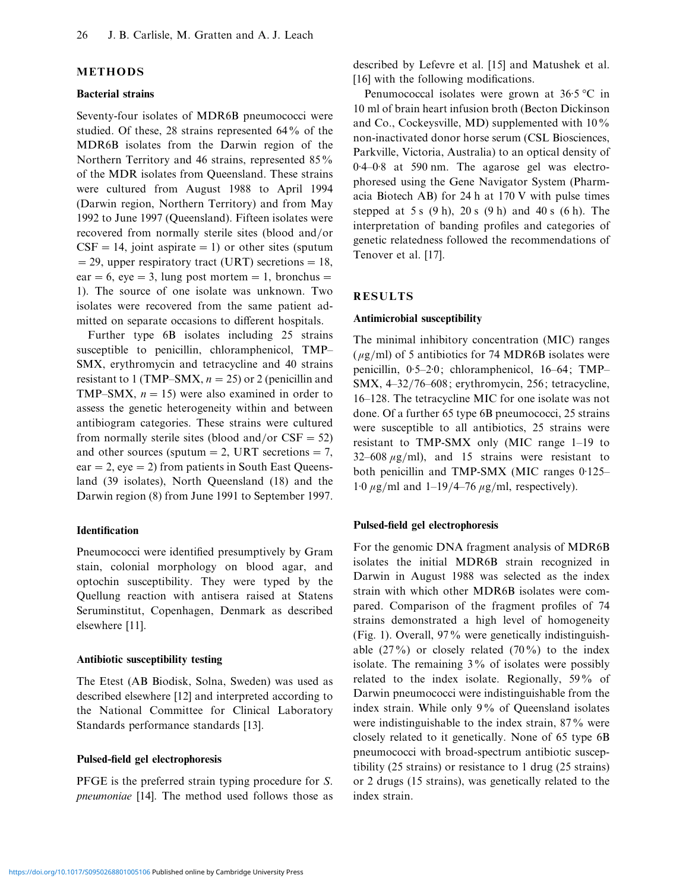# **METHODS**

#### **Bacterial strains**

Seventy-four isolates of MDR6B pneumococci were studied. Of these, 28 strains represented 64% of the MDR6B isolates from the Darwin region of the Northern Territory and 46 strains, represented 85% of the MDR isolates from Queensland. These strains were cultured from August 1988 to April 1994 (Darwin region, Northern Territory) and from May 1992 to June 1997 (Queensland). Fifteen isolates were recovered from normally sterile sites (blood and/or  $CSF = 14$ , joint aspirate = 1) or other sites (sputum  $=$  29, upper respiratory tract (URT) secretions  $=18$ , ear = 6, eye = 3, lung post mortem = 1, bronchus = 1). The source of one isolate was unknown. Two isolates were recovered from the same patient admitted on separate occasions to different hospitals.

Further type 6B isolates including 25 strains susceptible to penicillin, chloramphenicol, TMP– SMX, erythromycin and tetracycline and 40 strains resistant to 1 (TMP–SMX,  $n = 25$ ) or 2 (penicillin and TMP–SMX,  $n = 15$ ) were also examined in order to assess the genetic heterogeneity within and between antibiogram categories. These strains were cultured from normally sterile sites (blood and/or  $CSF = 52$ ) and other sources (sputum  $=$  2, URT secretions  $= 7$ ,  $ear = 2$ , eye = 2) from patients in South East Queensland (39 isolates), North Queensland (18) and the Darwin region (8) from June 1991 to September 1997.

#### **Identification**

Pneumococci were identified presumptively by Gram stain, colonial morphology on blood agar, and optochin susceptibility. They were typed by the Quellung reaction with antisera raised at Statens Seruminstitut, Copenhagen, Denmark as described elsewhere [11].

## **Antibiotic susceptibility testing**

The Etest (AB Biodisk, Solna, Sweden) was used as described elsewhere [12] and interpreted according to the National Committee for Clinical Laboratory Standards performance standards [13].

## **Pulsed-field gel electrophoresis**

PFGE is the preferred strain typing procedure for *S*. *pneumoniae* [14]. The method used follows those as described by Lefevre et al. [15] and Matushek et al. [16] with the following modifications.

Penumococcal isolates were grown at  $36.5 \degree C$  in 10 ml of brain heart infusion broth (Becton Dickinson and Co., Cockeysville, MD) supplemented with 10% non-inactivated donor horse serum (CSL Biosciences, Parkville, Victoria, Australia) to an optical density of 0.4–0.8 at 590 nm. The agarose gel was electrophoresed using the Gene Navigator System (Pharmacia Biotech AB) for 24 h at 170 V with pulse times stepped at 5 s  $(9 h)$ , 20 s  $(9 h)$  and 40 s  $(6 h)$ . The interpretation of banding profiles and categories of genetic relatedness followed the recommendations of Tenover et al. [17].

# **RESULTS**

# **Antimicrobial susceptibility**

The minimal inhibitory concentration (MIC) ranges ( $\mu$ g/ml) of 5 antibiotics for 74 MDR6B isolates were penicillin,  $0.5-2.0$ ; chloramphenicol,  $16-64$ ; TMP– SMX, 4-32/76-608; erythromycin, 256; tetracycline, 16–128. The tetracycline MIC for one isolate was not done. Of a further 65 type 6B pneumococci, 25 strains were susceptible to all antibiotics, 25 strains were resistant to TMP-SMX only (MIC range 1–19 to  $32-608 \mu g/ml$ , and 15 strains were resistant to both penicillin and TMP-SMX (MIC ranges 0.125– 1.0  $\mu$ g/ml and 1–19/4–76  $\mu$ g/ml, respectively).

#### **Pulsed-field gel electrophoresis**

For the genomic DNA fragment analysis of MDR6B isolates the initial MDR6B strain recognized in Darwin in August 1988 was selected as the index strain with which other MDR6B isolates were compared. Comparison of the fragment profiles of 74 strains demonstrated a high level of homogeneity (Fig. 1). Overall, 97% were genetically indistinguishable  $(27\%)$  or closely related  $(70\%)$  to the index isolate. The remaining 3% of isolates were possibly related to the index isolate. Regionally, 59% of Darwin pneumococci were indistinguishable from the index strain. While only 9% of Queensland isolates were indistinguishable to the index strain, 87% were closely related to it genetically. None of 65 type 6B pneumococci with broad-spectrum antibiotic susceptibility (25 strains) or resistance to 1 drug (25 strains) or 2 drugs (15 strains), was genetically related to the index strain.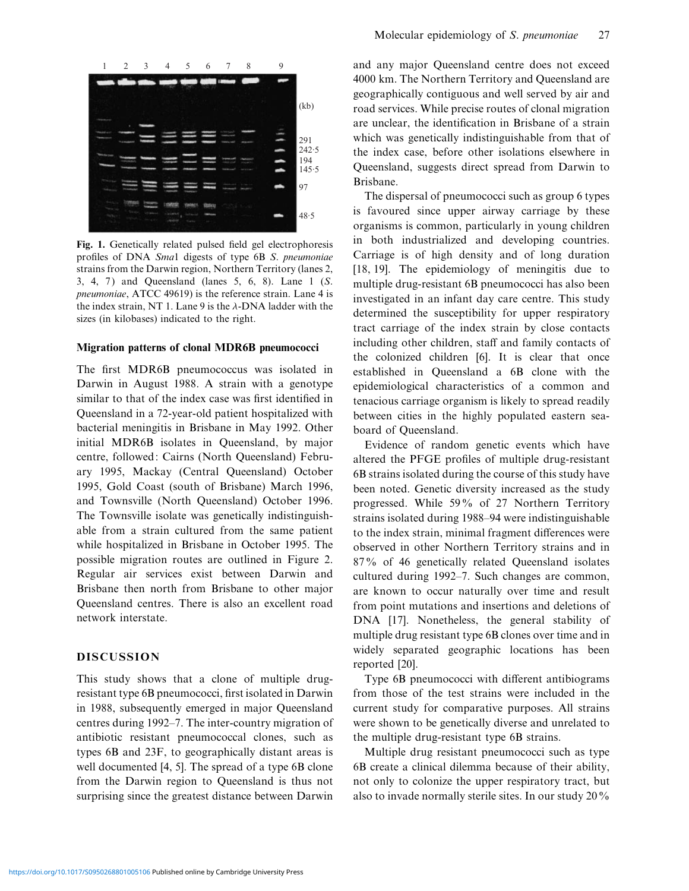

**Fig. 1.** Genetically related pulsed field gel electrophoresis profiles of DNA *Sma*1 digests of type 6B *S*. *pneumoniae* strains from the Darwin region, Northern Territory (lanes 2, 3, 4, 7 ) and Queensland (lanes 5, 6, 8). Lane 1 (*S*. *pneumoniae*, ATCC 49619) is the reference strain. Lane 4 is the index strain, NT 1. Lane 9 is the  $\lambda$ -DNA ladder with the sizes (in kilobases) indicated to the right.

#### **Migration patterns of clonal MDR6B pneumococci**

The first MDR6B pneumococcus was isolated in Darwin in August 1988. A strain with a genotype similar to that of the index case was first identified in Queensland in a 72-year-old patient hospitalized with bacterial meningitis in Brisbane in May 1992. Other initial MDR6B isolates in Queensland, by major centre, followed: Cairns (North Queensland) February 1995, Mackay (Central Queensland) October 1995, Gold Coast (south of Brisbane) March 1996, and Townsville (North Queensland) October 1996. The Townsville isolate was genetically indistinguishable from a strain cultured from the same patient while hospitalized in Brisbane in October 1995. The possible migration routes are outlined in Figure 2. Regular air services exist between Darwin and Brisbane then north from Brisbane to other major Queensland centres. There is also an excellent road network interstate.

# **DISCUSSION**

This study shows that a clone of multiple drugresistant type 6B pneumococci, first isolated in Darwin in 1988, subsequently emerged in major Queensland centres during 1992–7. The inter-country migration of antibiotic resistant pneumococcal clones, such as types 6B and 23F, to geographically distant areas is well documented [4, 5]. The spread of a type 6B clone from the Darwin region to Queensland is thus not surprising since the greatest distance between Darwin and any major Queensland centre does not exceed 4000 km. The Northern Territory and Queensland are geographically contiguous and well served by air and road services. While precise routes of clonal migration are unclear, the identification in Brisbane of a strain which was genetically indistinguishable from that of the index case, before other isolations elsewhere in Queensland, suggests direct spread from Darwin to Brisbane.

The dispersal of pneumococci such as group 6 types is favoured since upper airway carriage by these organisms is common, particularly in young children in both industrialized and developing countries. Carriage is of high density and of long duration [18, 19]. The epidemiology of meningitis due to multiple drug-resistant 6B pneumococci has also been investigated in an infant day care centre. This study determined the susceptibility for upper respiratory tract carriage of the index strain by close contacts including other children, staff and family contacts of the colonized children [6]. It is clear that once established in Queensland a 6B clone with the epidemiological characteristics of a common and tenacious carriage organism is likely to spread readily between cities in the highly populated eastern seaboard of Queensland.

Evidence of random genetic events which have altered the PFGE profiles of multiple drug-resistant 6B strains isolated during the course of this study have been noted. Genetic diversity increased as the study progressed. While 59% of 27 Northern Territory strains isolated during 1988–94 were indistinguishable to the index strain, minimal fragment differences were observed in other Northern Territory strains and in 87% of 46 genetically related Queensland isolates cultured during 1992–7. Such changes are common, are known to occur naturally over time and result from point mutations and insertions and deletions of DNA [17]. Nonetheless, the general stability of multiple drug resistant type 6B clones over time and in widely separated geographic locations has been reported [20].

Type 6B pneumococci with different antibiograms from those of the test strains were included in the current study for comparative purposes. All strains were shown to be genetically diverse and unrelated to the multiple drug-resistant type 6B strains.

Multiple drug resistant pneumococci such as type 6B create a clinical dilemma because of their ability, not only to colonize the upper respiratory tract, but also to invade normally sterile sites. In our study 20%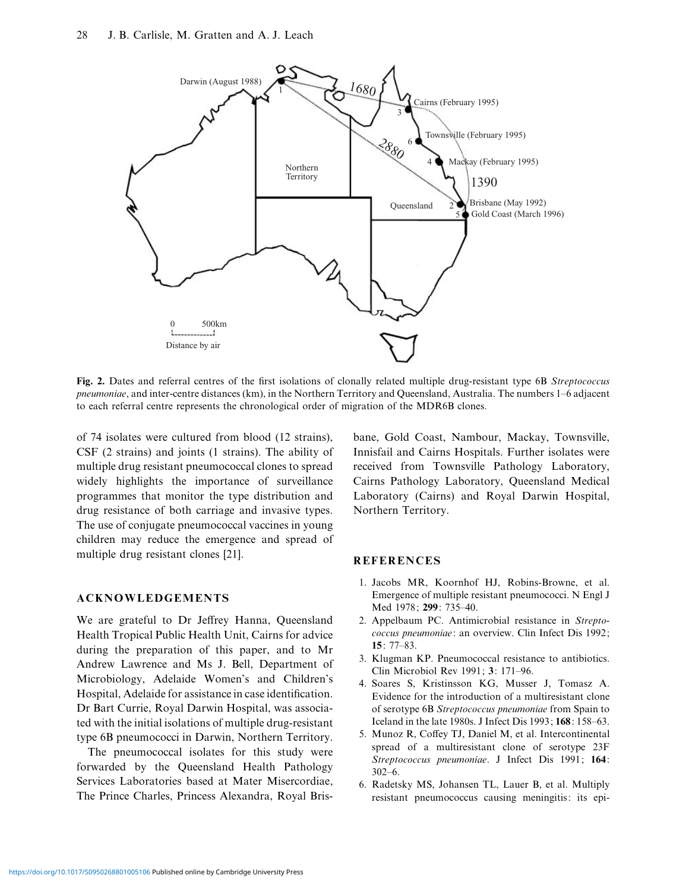

**Fig. 2.** Dates and referral centres of the first isolations of clonally related multiple drug-resistant type 6B *Streptococcus pneumoniae*, and inter-centre distances (km), in the Northern Territory and Queensland, Australia. The numbers 1–6 adjacent to each referral centre represents the chronological order of migration of the MDR6B clones.

of 74 isolates were cultured from blood (12 strains), CSF (2 strains) and joints (1 strains). The ability of multiple drug resistant pneumococcal clones to spread widely highlights the importance of surveillance programmes that monitor the type distribution and drug resistance of both carriage and invasive types. The use of conjugate pneumococcal vaccines in young children may reduce the emergence and spread of multiple drug resistant clones [21].

#### **ACKNOWLEDGEMENTS**

We are grateful to Dr Jeffrey Hanna, Queensland Health Tropical Public Health Unit, Cairns for advice during the preparation of this paper, and to Mr Andrew Lawrence and Ms J. Bell, Department of Microbiology, Adelaide Women's and Children's Hospital, Adelaide for assistance in case identification. Dr Bart Currie, Royal Darwin Hospital, was associated with the initial isolations of multiple drug-resistant type 6B pneumococci in Darwin, Northern Territory.

The pneumococcal isolates for this study were forwarded by the Queensland Health Pathology Services Laboratories based at Mater Misercordiae, The Prince Charles, Princess Alexandra, Royal Brisbane, Gold Coast, Nambour, Mackay, Townsville, Innisfail and Cairns Hospitals. Further isolates were received from Townsville Pathology Laboratory, Cairns Pathology Laboratory, Queensland Medical Laboratory (Cairns) and Royal Darwin Hospital, Northern Territory.

#### **REFERENCES**

- 1. Jacobs MR, Koornhof HJ, Robins-Browne, et al. Emergence of multiple resistant pneumococci. N Engl J Med 1978; **299**: 735–40.
- 2. Appelbaum PC. Antimicrobial resistance in *Streptococcus pneumoniae*: an overview. Clin Infect Dis 1992; **15**: 77–83.
- 3. Klugman KP. Pneumococcal resistance to antibiotics. Clin Microbiol Rev 1991; **3**: 171–96.
- 4. Soares S, Kristinsson KG, Musser J, Tomasz A. Evidence for the introduction of a multiresistant clone of serotype 6B *Streptococcus pneumoniae* from Spain to Iceland in the late 1980s. J Infect Dis 1993; **168**: 158–63.
- 5. Munoz R, Coffey TJ, Daniel M, et al. Intercontinental spread of a multiresistant clone of serotype 23F *Streptococcus pneumoniae*. J Infect Dis 1991; **164**:  $302-6.$
- 6. Radetsky MS, Johansen TL, Lauer B, et al. Multiply resistant pneumococcus causing meningitis: its epi-